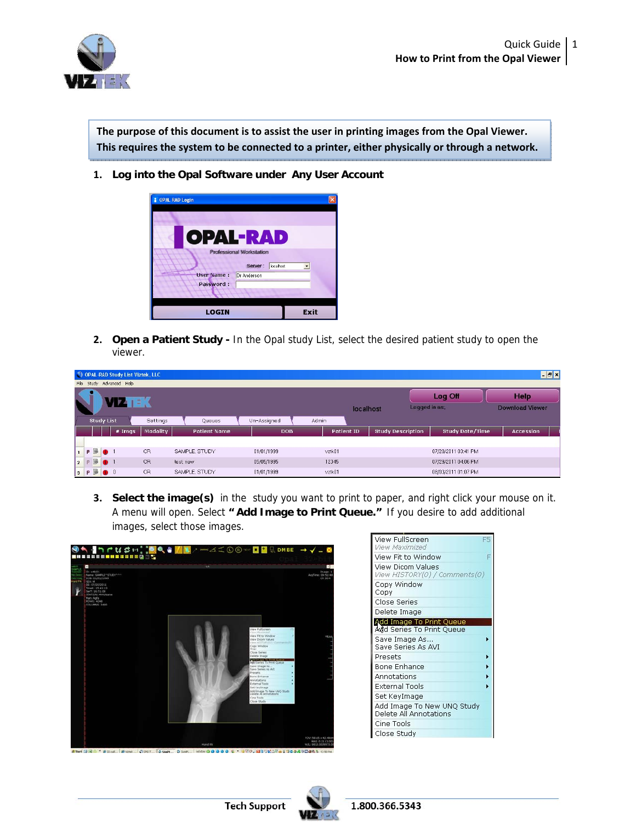**The purpose of this document is to assist the user in printing images from the Opal Viewer. This requires the system to be connected to a printer, either physically or through a network.**

**1. Log into the Opal Software under Any User Account** 



**2. Open a Patient Study -** In the Opal study List, select the desired patient study to open the viewer.

| $\blacksquare$<br>OPAL-RAD Study List Viztek, LLC |    |  |                           |           |                      |            |                   |  |                          |  |                        |                  |  |
|---------------------------------------------------|----|--|---------------------------|-----------|----------------------|------------|-------------------|--|--------------------------|--|------------------------|------------------|--|
| Advanced Help<br>File Study                       |    |  |                           |           |                      |            |                   |  |                          |  |                        |                  |  |
|                                                   |    |  |                           |           |                      |            |                   |  |                          |  | Log Off                | <b>Help</b>      |  |
|                                                   |    |  |                           |           |                      |            | localhost         |  | Logged in as:            |  | <b>Download Viewer</b> |                  |  |
| <b>Study List</b>                                 |    |  | <b>Settings</b><br>Queues |           | Un-Assigned<br>Admin |            |                   |  |                          |  |                        |                  |  |
|                                                   |    |  | $#$ Imgs                  | Modality  | <b>Patient Name</b>  | <b>DOB</b> | <b>Patient ID</b> |  | <b>Study Description</b> |  | <b>Study Date/Time</b> | <b>Accession</b> |  |
|                                                   |    |  |                           |           |                      |            |                   |  |                          |  |                        |                  |  |
|                                                   | P  |  |                           | CR.       | SAMPLE, STUDY        | 01/01/1999 | vztk01            |  |                          |  | 07/20/2011 03:41 PM    |                  |  |
| P<br>$\overline{2}$                               | B. |  |                           | <b>CR</b> | test new             | 05/05/1995 | 12345             |  |                          |  | 07/29/2011 04:06 PM    |                  |  |
| $3$ $P$ $\rightarrow$ 0                           |    |  |                           | CR.       | SAMPLE, STUDY        | 01/01/1999 | vztk01            |  |                          |  | 08/03/2011 01:07 PM    |                  |  |

**3. Select the image(s)** in the study you want to print to paper, and right click your mouse on it. A menu will open. Select **" Add Image to Print Queue."** If you desire to add additional images, select those images.





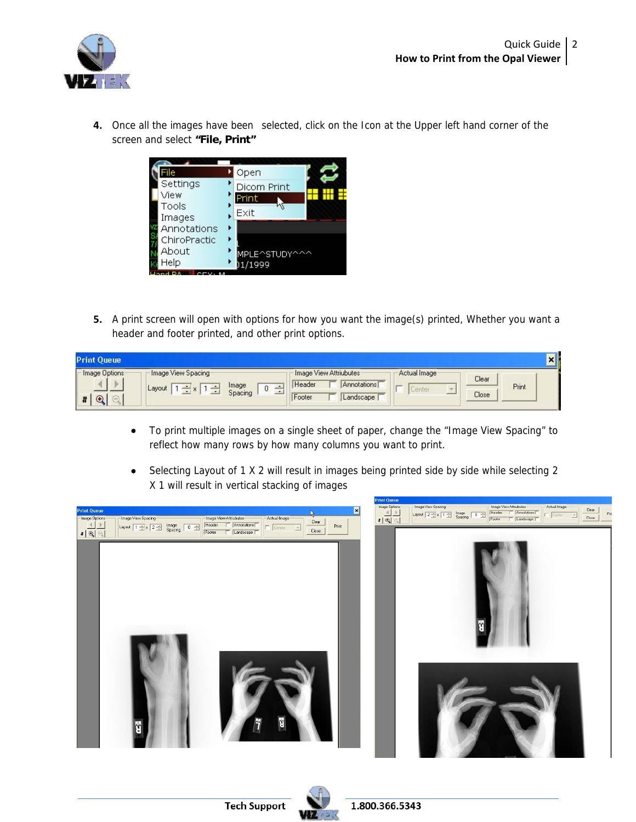

**4.** Once all the images have been selected, click on the Icon at the Upper left hand corner of the screen and select **"File, Print"**



**5.** A print screen will open with options for how you want the image(s) printed, Whether you want a header and footer printed, and other print options.

| <b>Print Queue</b> |                    |                       |        |                                       |              |       | $\vert x \vert$ |
|--------------------|--------------------|-----------------------|--------|---------------------------------------|--------------|-------|-----------------|
| Image Options      | Image View Spacing | Image<br>υ<br>Spacing | Header | Image View Attriubutes<br>Annotations | Actual Image | Clear | Print           |
| $\mathbf{\Theta}$  | Layout             |                       | Footer | Landscape                             | $-$          | Close |                 |

- To print multiple images on a single sheet of paper, change the "Image View Spacing" to reflect how many rows by how many columns you want to print.
- Selecting Layout of 1 X 2 will result in images being printed side by side while selecting 2 X 1 will result in vertical stacking of images